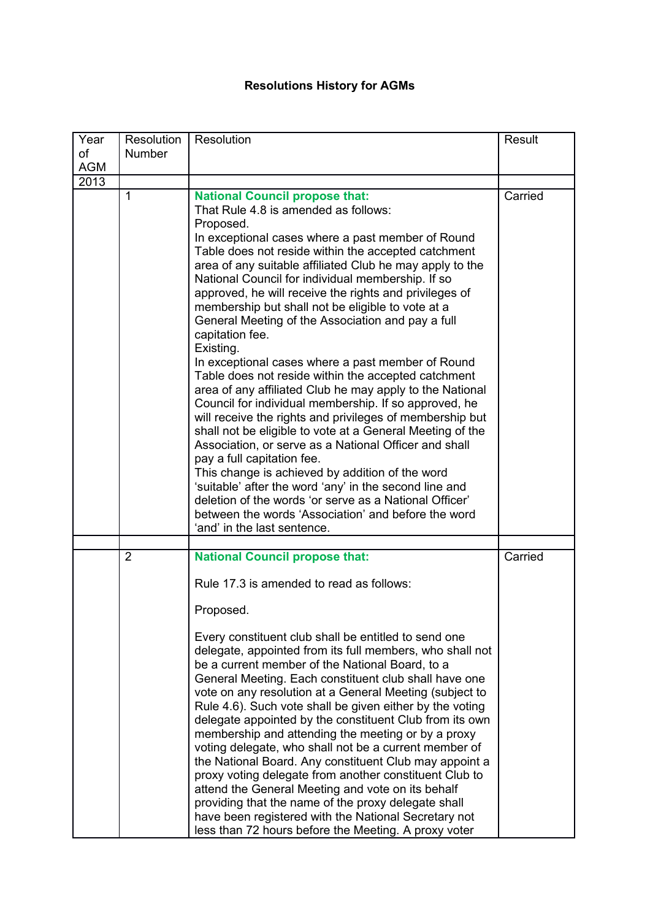## **Resolutions History for AGMs**

| Year             | Resolution     | Resolution                                                                                                                                                                                                                                                                                                                                                                                                                                                                                                                                                                                                                                                                                                                                                                                                                                                                                                                                                                                                                                                                                                                                                                                                                                | <b>Result</b> |
|------------------|----------------|-------------------------------------------------------------------------------------------------------------------------------------------------------------------------------------------------------------------------------------------------------------------------------------------------------------------------------------------------------------------------------------------------------------------------------------------------------------------------------------------------------------------------------------------------------------------------------------------------------------------------------------------------------------------------------------------------------------------------------------------------------------------------------------------------------------------------------------------------------------------------------------------------------------------------------------------------------------------------------------------------------------------------------------------------------------------------------------------------------------------------------------------------------------------------------------------------------------------------------------------|---------------|
| of<br><b>AGM</b> | <b>Number</b>  |                                                                                                                                                                                                                                                                                                                                                                                                                                                                                                                                                                                                                                                                                                                                                                                                                                                                                                                                                                                                                                                                                                                                                                                                                                           |               |
| 2013             |                |                                                                                                                                                                                                                                                                                                                                                                                                                                                                                                                                                                                                                                                                                                                                                                                                                                                                                                                                                                                                                                                                                                                                                                                                                                           |               |
|                  | $\mathbf{1}$   | <b>National Council propose that:</b><br>That Rule 4.8 is amended as follows:<br>Proposed.<br>In exceptional cases where a past member of Round<br>Table does not reside within the accepted catchment<br>area of any suitable affiliated Club he may apply to the<br>National Council for individual membership. If so<br>approved, he will receive the rights and privileges of<br>membership but shall not be eligible to vote at a<br>General Meeting of the Association and pay a full<br>capitation fee.<br>Existing.<br>In exceptional cases where a past member of Round<br>Table does not reside within the accepted catchment<br>area of any affiliated Club he may apply to the National<br>Council for individual membership. If so approved, he<br>will receive the rights and privileges of membership but<br>shall not be eligible to vote at a General Meeting of the<br>Association, or serve as a National Officer and shall<br>pay a full capitation fee.<br>This change is achieved by addition of the word<br>'suitable' after the word 'any' in the second line and<br>deletion of the words 'or serve as a National Officer'<br>between the words 'Association' and before the word<br>'and' in the last sentence. | Carried       |
|                  | $\overline{2}$ | <b>National Council propose that:</b>                                                                                                                                                                                                                                                                                                                                                                                                                                                                                                                                                                                                                                                                                                                                                                                                                                                                                                                                                                                                                                                                                                                                                                                                     | Carried       |
|                  |                | Rule 17.3 is amended to read as follows:<br>Proposed.<br>Every constituent club shall be entitled to send one<br>delegate, appointed from its full members, who shall not<br>be a current member of the National Board, to a<br>General Meeting. Each constituent club shall have one<br>vote on any resolution at a General Meeting (subject to<br>Rule 4.6). Such vote shall be given either by the voting<br>delegate appointed by the constituent Club from its own<br>membership and attending the meeting or by a proxy<br>voting delegate, who shall not be a current member of<br>the National Board. Any constituent Club may appoint a<br>proxy voting delegate from another constituent Club to<br>attend the General Meeting and vote on its behalf<br>providing that the name of the proxy delegate shall<br>have been registered with the National Secretary not<br>less than 72 hours before the Meeting. A proxy voter                                                                                                                                                                                                                                                                                                    |               |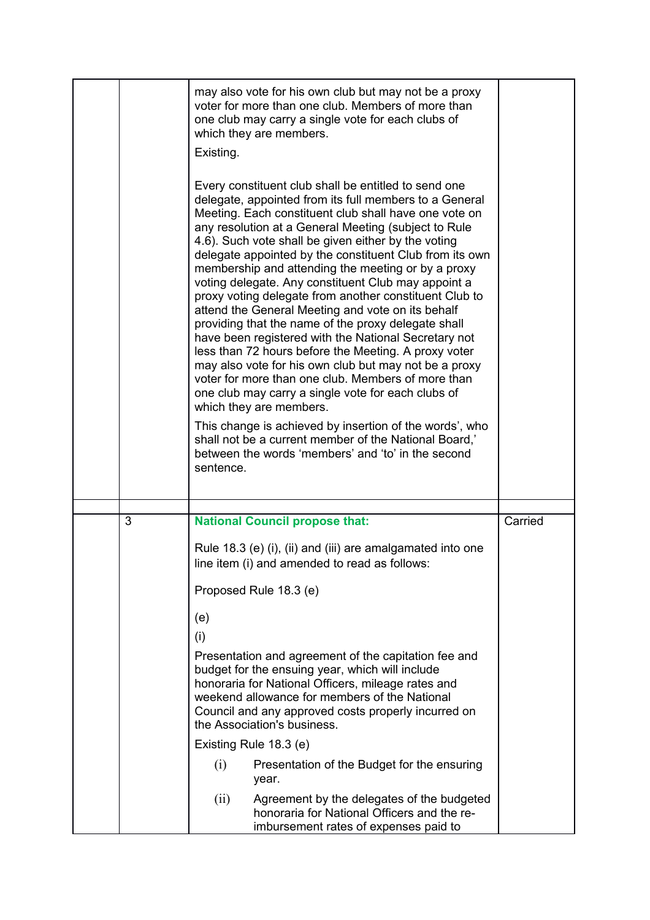|   | Existing.<br>sentence. | may also vote for his own club but may not be a proxy<br>voter for more than one club. Members of more than<br>one club may carry a single vote for each clubs of<br>which they are members.<br>Every constituent club shall be entitled to send one<br>delegate, appointed from its full members to a General<br>Meeting. Each constituent club shall have one vote on<br>any resolution at a General Meeting (subject to Rule<br>4.6). Such vote shall be given either by the voting<br>delegate appointed by the constituent Club from its own<br>membership and attending the meeting or by a proxy<br>voting delegate. Any constituent Club may appoint a<br>proxy voting delegate from another constituent Club to<br>attend the General Meeting and vote on its behalf<br>providing that the name of the proxy delegate shall<br>have been registered with the National Secretary not<br>less than 72 hours before the Meeting. A proxy voter<br>may also vote for his own club but may not be a proxy<br>voter for more than one club. Members of more than<br>one club may carry a single vote for each clubs of<br>which they are members.<br>This change is achieved by insertion of the words', who<br>shall not be a current member of the National Board,'<br>between the words 'members' and 'to' in the second |         |
|---|------------------------|--------------------------------------------------------------------------------------------------------------------------------------------------------------------------------------------------------------------------------------------------------------------------------------------------------------------------------------------------------------------------------------------------------------------------------------------------------------------------------------------------------------------------------------------------------------------------------------------------------------------------------------------------------------------------------------------------------------------------------------------------------------------------------------------------------------------------------------------------------------------------------------------------------------------------------------------------------------------------------------------------------------------------------------------------------------------------------------------------------------------------------------------------------------------------------------------------------------------------------------------------------------------------------------------------------------------------------|---------|
|   |                        |                                                                                                                                                                                                                                                                                                                                                                                                                                                                                                                                                                                                                                                                                                                                                                                                                                                                                                                                                                                                                                                                                                                                                                                                                                                                                                                                |         |
| 3 |                        | <b>National Council propose that:</b>                                                                                                                                                                                                                                                                                                                                                                                                                                                                                                                                                                                                                                                                                                                                                                                                                                                                                                                                                                                                                                                                                                                                                                                                                                                                                          | Carried |
|   |                        | Rule 18.3 (e) (i), (ii) and (iii) are amalgamated into one<br>line item (i) and amended to read as follows:<br>Proposed Rule 18.3 (e)                                                                                                                                                                                                                                                                                                                                                                                                                                                                                                                                                                                                                                                                                                                                                                                                                                                                                                                                                                                                                                                                                                                                                                                          |         |
|   | (e)                    |                                                                                                                                                                                                                                                                                                                                                                                                                                                                                                                                                                                                                                                                                                                                                                                                                                                                                                                                                                                                                                                                                                                                                                                                                                                                                                                                |         |
|   | (i)                    |                                                                                                                                                                                                                                                                                                                                                                                                                                                                                                                                                                                                                                                                                                                                                                                                                                                                                                                                                                                                                                                                                                                                                                                                                                                                                                                                |         |
|   |                        | Presentation and agreement of the capitation fee and<br>budget for the ensuing year, which will include<br>honoraria for National Officers, mileage rates and<br>weekend allowance for members of the National<br>Council and any approved costs properly incurred on<br>the Association's business.                                                                                                                                                                                                                                                                                                                                                                                                                                                                                                                                                                                                                                                                                                                                                                                                                                                                                                                                                                                                                           |         |
|   |                        | Existing Rule 18.3 (e)                                                                                                                                                                                                                                                                                                                                                                                                                                                                                                                                                                                                                                                                                                                                                                                                                                                                                                                                                                                                                                                                                                                                                                                                                                                                                                         |         |
|   | (i)                    | Presentation of the Budget for the ensuring<br>year.                                                                                                                                                                                                                                                                                                                                                                                                                                                                                                                                                                                                                                                                                                                                                                                                                                                                                                                                                                                                                                                                                                                                                                                                                                                                           |         |
|   | (ii)                   | Agreement by the delegates of the budgeted<br>honoraria for National Officers and the re-<br>imbursement rates of expenses paid to                                                                                                                                                                                                                                                                                                                                                                                                                                                                                                                                                                                                                                                                                                                                                                                                                                                                                                                                                                                                                                                                                                                                                                                             |         |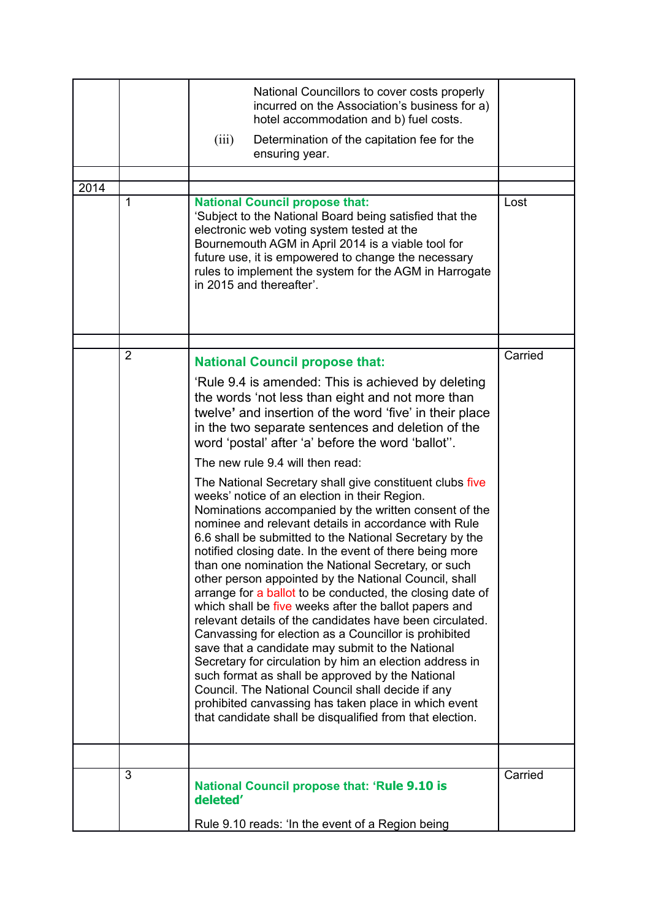| 2014 | $\mathbf{1}$   | National Councillors to cover costs properly<br>incurred on the Association's business for a)<br>hotel accommodation and b) fuel costs.<br>Determination of the capitation fee for the<br>(iii)<br>ensuring year.<br><b>National Council propose that:</b><br>'Subject to the National Board being satisfied that the<br>electronic web voting system tested at the<br>Bournemouth AGM in April 2014 is a viable tool for<br>future use, it is empowered to change the necessary<br>rules to implement the system for the AGM in Harrogate<br>in 2015 and thereafter'.                                                                                                                                                                                                                                                                                                                                                                                                                                                                                                                                                                                                                                                                                                                                                                                                                                              | Lost    |
|------|----------------|---------------------------------------------------------------------------------------------------------------------------------------------------------------------------------------------------------------------------------------------------------------------------------------------------------------------------------------------------------------------------------------------------------------------------------------------------------------------------------------------------------------------------------------------------------------------------------------------------------------------------------------------------------------------------------------------------------------------------------------------------------------------------------------------------------------------------------------------------------------------------------------------------------------------------------------------------------------------------------------------------------------------------------------------------------------------------------------------------------------------------------------------------------------------------------------------------------------------------------------------------------------------------------------------------------------------------------------------------------------------------------------------------------------------|---------|
|      |                |                                                                                                                                                                                                                                                                                                                                                                                                                                                                                                                                                                                                                                                                                                                                                                                                                                                                                                                                                                                                                                                                                                                                                                                                                                                                                                                                                                                                                     |         |
|      | $\overline{2}$ | <b>National Council propose that:</b><br>'Rule 9.4 is amended: This is achieved by deleting<br>the words 'not less than eight and not more than<br>twelve' and insertion of the word 'five' in their place<br>in the two separate sentences and deletion of the<br>word 'postal' after 'a' before the word 'ballot".<br>The new rule 9.4 will then read:<br>The National Secretary shall give constituent clubs five<br>weeks' notice of an election in their Region.<br>Nominations accompanied by the written consent of the<br>nominee and relevant details in accordance with Rule<br>6.6 shall be submitted to the National Secretary by the<br>notified closing date. In the event of there being more<br>than one nomination the National Secretary, or such<br>other person appointed by the National Council, shall<br>arrange for a ballot to be conducted, the closing date of<br>which shall be five weeks after the ballot papers and<br>relevant details of the candidates have been circulated.<br>Canvassing for election as a Councillor is prohibited<br>save that a candidate may submit to the National<br>Secretary for circulation by him an election address in<br>such format as shall be approved by the National<br>Council. The National Council shall decide if any<br>prohibited canvassing has taken place in which event<br>that candidate shall be disqualified from that election. | Carried |
|      |                |                                                                                                                                                                                                                                                                                                                                                                                                                                                                                                                                                                                                                                                                                                                                                                                                                                                                                                                                                                                                                                                                                                                                                                                                                                                                                                                                                                                                                     |         |
|      | 3              | <b>National Council propose that: 'Rule 9.10 is</b><br>deleted'<br>Rule 9.10 reads: 'In the event of a Region being                                                                                                                                                                                                                                                                                                                                                                                                                                                                                                                                                                                                                                                                                                                                                                                                                                                                                                                                                                                                                                                                                                                                                                                                                                                                                                 | Carried |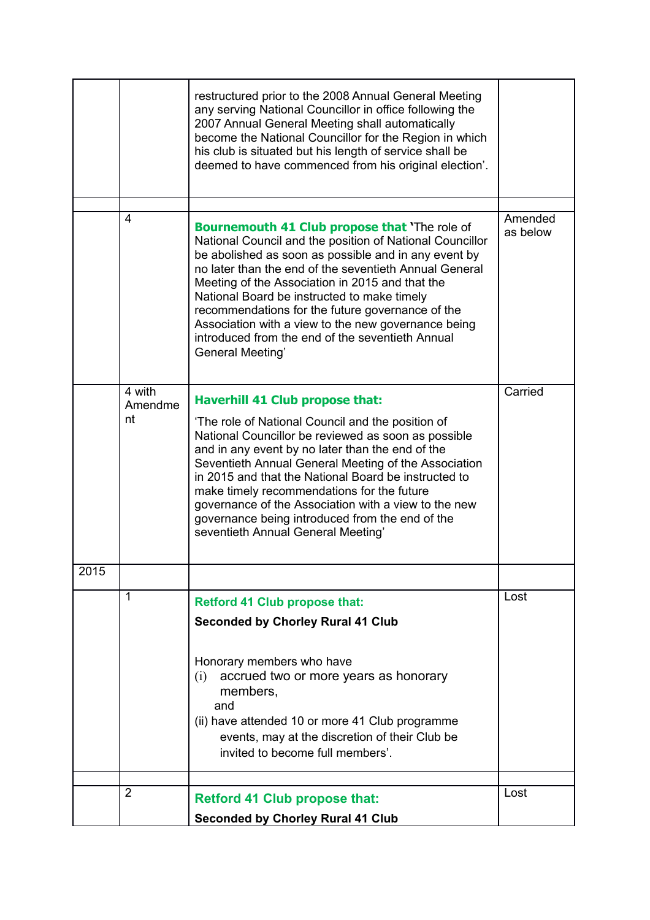|      |               | restructured prior to the 2008 Annual General Meeting<br>any serving National Councillor in office following the<br>2007 Annual General Meeting shall automatically<br>become the National Councillor for the Region in which<br>his club is situated but his length of service shall be<br>deemed to have commenced from his original election'.                                                                                                                                                                       |          |
|------|---------------|-------------------------------------------------------------------------------------------------------------------------------------------------------------------------------------------------------------------------------------------------------------------------------------------------------------------------------------------------------------------------------------------------------------------------------------------------------------------------------------------------------------------------|----------|
|      | 4             |                                                                                                                                                                                                                                                                                                                                                                                                                                                                                                                         | Amended  |
|      |               | <b>Bournemouth 41 Club propose that 'The role of</b><br>National Council and the position of National Councillor<br>be abolished as soon as possible and in any event by<br>no later than the end of the seventieth Annual General<br>Meeting of the Association in 2015 and that the<br>National Board be instructed to make timely<br>recommendations for the future governance of the<br>Association with a view to the new governance being<br>introduced from the end of the seventieth Annual<br>General Meeting' | as below |
|      | 4 with        | <b>Haverhill 41 Club propose that:</b>                                                                                                                                                                                                                                                                                                                                                                                                                                                                                  | Carried  |
|      | Amendme<br>nt | 'The role of National Council and the position of<br>National Councillor be reviewed as soon as possible<br>and in any event by no later than the end of the<br>Seventieth Annual General Meeting of the Association<br>in 2015 and that the National Board be instructed to<br>make timely recommendations for the future<br>governance of the Association with a view to the new<br>governance being introduced from the end of the<br>seventieth Annual General Meeting'                                             |          |
| 2015 |               |                                                                                                                                                                                                                                                                                                                                                                                                                                                                                                                         |          |
|      | 1             | <b>Retford 41 Club propose that:</b>                                                                                                                                                                                                                                                                                                                                                                                                                                                                                    | Lost     |
|      |               | <b>Seconded by Chorley Rural 41 Club</b>                                                                                                                                                                                                                                                                                                                                                                                                                                                                                |          |
|      |               | Honorary members who have<br>accrued two or more years as honorary<br>(i)<br>members,<br>and<br>(ii) have attended 10 or more 41 Club programme<br>events, may at the discretion of their Club be<br>invited to become full members'.                                                                                                                                                                                                                                                                                   |          |
|      | 2             |                                                                                                                                                                                                                                                                                                                                                                                                                                                                                                                         | Lost     |
|      |               | <b>Retford 41 Club propose that:</b>                                                                                                                                                                                                                                                                                                                                                                                                                                                                                    |          |
|      |               | <b>Seconded by Chorley Rural 41 Club</b>                                                                                                                                                                                                                                                                                                                                                                                                                                                                                |          |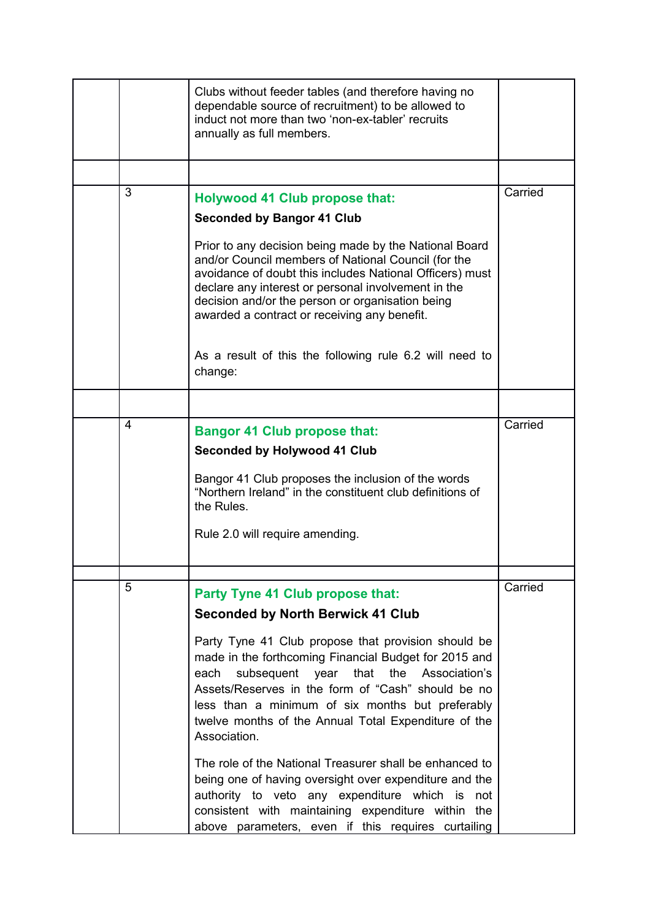|   | Clubs without feeder tables (and therefore having no<br>dependable source of recruitment) to be allowed to<br>induct not more than two 'non-ex-tabler' recruits<br>annually as full members.                                                                                                                                                        |         |
|---|-----------------------------------------------------------------------------------------------------------------------------------------------------------------------------------------------------------------------------------------------------------------------------------------------------------------------------------------------------|---------|
|   |                                                                                                                                                                                                                                                                                                                                                     |         |
| 3 | <b>Holywood 41 Club propose that:</b><br><b>Seconded by Bangor 41 Club</b>                                                                                                                                                                                                                                                                          | Carried |
|   | Prior to any decision being made by the National Board<br>and/or Council members of National Council (for the<br>avoidance of doubt this includes National Officers) must<br>declare any interest or personal involvement in the<br>decision and/or the person or organisation being<br>awarded a contract or receiving any benefit.                |         |
|   | As a result of this the following rule 6.2 will need to<br>change:                                                                                                                                                                                                                                                                                  |         |
|   |                                                                                                                                                                                                                                                                                                                                                     |         |
| 4 | <b>Bangor 41 Club propose that:</b><br><b>Seconded by Holywood 41 Club</b><br>Bangor 41 Club proposes the inclusion of the words                                                                                                                                                                                                                    | Carried |
|   | "Northern Ireland" in the constituent club definitions of<br>the Rules.<br>Rule 2.0 will require amending.                                                                                                                                                                                                                                          |         |
|   |                                                                                                                                                                                                                                                                                                                                                     |         |
| 5 | Party Tyne 41 Club propose that:                                                                                                                                                                                                                                                                                                                    | Carried |
|   | <b>Seconded by North Berwick 41 Club</b>                                                                                                                                                                                                                                                                                                            |         |
|   | Party Tyne 41 Club propose that provision should be<br>made in the forthcoming Financial Budget for 2015 and<br>subsequent year that the<br>Association's<br>each<br>Assets/Reserves in the form of "Cash" should be no<br>less than a minimum of six months but preferably<br>twelve months of the Annual Total Expenditure of the<br>Association. |         |
|   | The role of the National Treasurer shall be enhanced to<br>being one of having oversight over expenditure and the<br>authority to veto any expenditure which<br>is<br>not<br>consistent with maintaining expenditure within the<br>above parameters, even if this requires curtailing                                                               |         |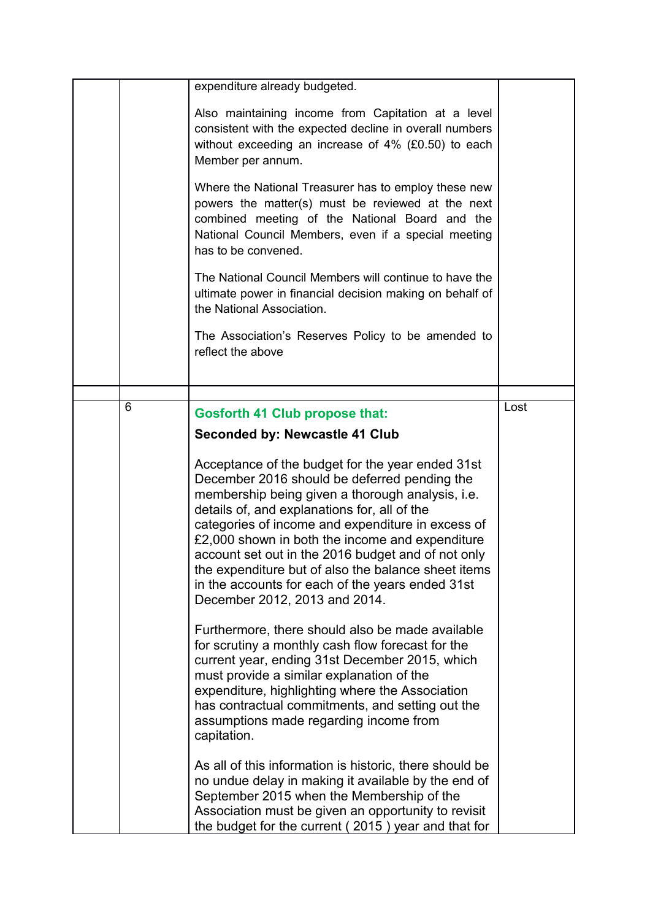|   | expenditure already budgeted.                                                                                                                                                                                                                                                                                                                                                                                                                                                                                  |      |
|---|----------------------------------------------------------------------------------------------------------------------------------------------------------------------------------------------------------------------------------------------------------------------------------------------------------------------------------------------------------------------------------------------------------------------------------------------------------------------------------------------------------------|------|
|   | Also maintaining income from Capitation at a level<br>consistent with the expected decline in overall numbers<br>without exceeding an increase of 4% (£0.50) to each<br>Member per annum.                                                                                                                                                                                                                                                                                                                      |      |
|   | Where the National Treasurer has to employ these new<br>powers the matter(s) must be reviewed at the next<br>combined meeting of the National Board and the<br>National Council Members, even if a special meeting<br>has to be convened.                                                                                                                                                                                                                                                                      |      |
|   | The National Council Members will continue to have the<br>ultimate power in financial decision making on behalf of<br>the National Association.                                                                                                                                                                                                                                                                                                                                                                |      |
|   | The Association's Reserves Policy to be amended to<br>reflect the above                                                                                                                                                                                                                                                                                                                                                                                                                                        |      |
|   |                                                                                                                                                                                                                                                                                                                                                                                                                                                                                                                |      |
| 6 | <b>Gosforth 41 Club propose that:</b>                                                                                                                                                                                                                                                                                                                                                                                                                                                                          | Lost |
|   | Seconded by: Newcastle 41 Club                                                                                                                                                                                                                                                                                                                                                                                                                                                                                 |      |
|   | Acceptance of the budget for the year ended 31st<br>December 2016 should be deferred pending the<br>membership being given a thorough analysis, i.e.<br>details of, and explanations for, all of the<br>categories of income and expenditure in excess of<br>£2,000 shown in both the income and expenditure<br>account set out in the 2016 budget and of not only<br>the expenditure but of also the balance sheet items<br>in the accounts for each of the years ended 31st<br>December 2012, 2013 and 2014. |      |
|   | Furthermore, there should also be made available<br>for scrutiny a monthly cash flow forecast for the<br>current year, ending 31st December 2015, which<br>must provide a similar explanation of the<br>expenditure, highlighting where the Association<br>has contractual commitments, and setting out the<br>assumptions made regarding income from<br>capitation.                                                                                                                                           |      |
|   | As all of this information is historic, there should be<br>no undue delay in making it available by the end of<br>September 2015 when the Membership of the<br>Association must be given an opportunity to revisit<br>the budget for the current (2015) year and that for                                                                                                                                                                                                                                      |      |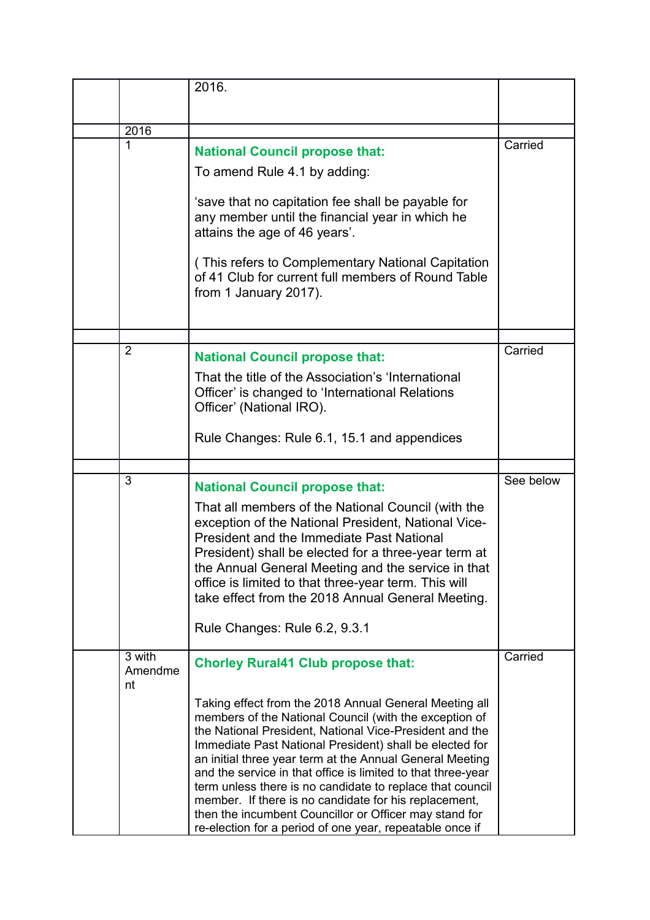|                         | 2016.                                                                                                                                                                                                                                                                                                                                                                                                                                                                                                                                                                                                          |           |
|-------------------------|----------------------------------------------------------------------------------------------------------------------------------------------------------------------------------------------------------------------------------------------------------------------------------------------------------------------------------------------------------------------------------------------------------------------------------------------------------------------------------------------------------------------------------------------------------------------------------------------------------------|-----------|
| 2016                    |                                                                                                                                                                                                                                                                                                                                                                                                                                                                                                                                                                                                                |           |
| 1                       | <b>National Council propose that:</b><br>To amend Rule 4.1 by adding:                                                                                                                                                                                                                                                                                                                                                                                                                                                                                                                                          | Carried   |
|                         | 'save that no capitation fee shall be payable for<br>any member until the financial year in which he<br>attains the age of 46 years'.                                                                                                                                                                                                                                                                                                                                                                                                                                                                          |           |
|                         | (This refers to Complementary National Capitation<br>of 41 Club for current full members of Round Table<br>from 1 January 2017).                                                                                                                                                                                                                                                                                                                                                                                                                                                                               |           |
| $\overline{2}$          | <b>National Council propose that:</b>                                                                                                                                                                                                                                                                                                                                                                                                                                                                                                                                                                          | Carried   |
|                         | That the title of the Association's 'International<br>Officer' is changed to 'International Relations<br>Officer' (National IRO).                                                                                                                                                                                                                                                                                                                                                                                                                                                                              |           |
|                         | Rule Changes: Rule 6.1, 15.1 and appendices                                                                                                                                                                                                                                                                                                                                                                                                                                                                                                                                                                    |           |
|                         |                                                                                                                                                                                                                                                                                                                                                                                                                                                                                                                                                                                                                |           |
| 3                       | <b>National Council propose that:</b>                                                                                                                                                                                                                                                                                                                                                                                                                                                                                                                                                                          | See below |
|                         | That all members of the National Council (with the<br>exception of the National President, National Vice-<br><b>President and the Immediate Past National</b><br>President) shall be elected for a three-year term at<br>the Annual General Meeting and the service in that<br>office is limited to that three-year term. This will<br>take effect from the 2018 Annual General Meeting.                                                                                                                                                                                                                       |           |
|                         | Rule Changes: Rule 6.2, 9.3.1                                                                                                                                                                                                                                                                                                                                                                                                                                                                                                                                                                                  |           |
| 3 with<br>Amendme<br>nt | <b>Chorley Rural41 Club propose that:</b>                                                                                                                                                                                                                                                                                                                                                                                                                                                                                                                                                                      | Carried   |
|                         | Taking effect from the 2018 Annual General Meeting all<br>members of the National Council (with the exception of<br>the National President, National Vice-President and the<br>Immediate Past National President) shall be elected for<br>an initial three year term at the Annual General Meeting<br>and the service in that office is limited to that three-year<br>term unless there is no candidate to replace that council<br>member. If there is no candidate for his replacement,<br>then the incumbent Councillor or Officer may stand for<br>re-election for a period of one year, repeatable once if |           |